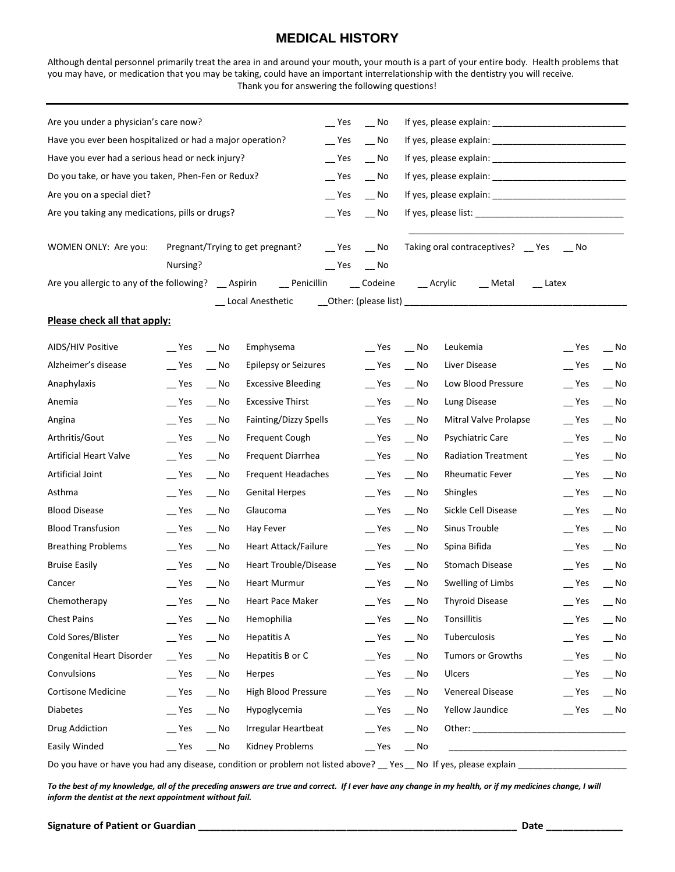## **MEDICAL HISTORY**

Although dental personnel primarily treat the area in and around your mouth, your mouth is a part of your entire body. Health problems that you may have, or medication that you may be taking, could have an important interrelationship with the dentistry you will receive. Thank you for answering the following questions!

| Have you ever been hospitalized or had a major operation?<br>$-$ Yes<br>$-$ No<br>Have you ever had a serious head or neck injury?<br>$\mathsf{L}$ Yes<br>$\overline{\phantom{0}}$ No<br>Do you take, or have you taken, Phen-Fen or Redux?<br>$\mathsf{I}$ Yes<br>$-$ No                                                                                   |                                        |  |  |  |  |  |  |  |
|-------------------------------------------------------------------------------------------------------------------------------------------------------------------------------------------------------------------------------------------------------------------------------------------------------------------------------------------------------------|----------------------------------------|--|--|--|--|--|--|--|
|                                                                                                                                                                                                                                                                                                                                                             |                                        |  |  |  |  |  |  |  |
|                                                                                                                                                                                                                                                                                                                                                             |                                        |  |  |  |  |  |  |  |
|                                                                                                                                                                                                                                                                                                                                                             |                                        |  |  |  |  |  |  |  |
| Are you on a special diet?<br>$\mathsf{I}$ Yes<br>$\mathbf{N}^{\mathsf{o}}$                                                                                                                                                                                                                                                                                 |                                        |  |  |  |  |  |  |  |
| Are you taking any medications, pills or drugs?<br>$\equiv$ Yes<br>$-$ No                                                                                                                                                                                                                                                                                   |                                        |  |  |  |  |  |  |  |
|                                                                                                                                                                                                                                                                                                                                                             |                                        |  |  |  |  |  |  |  |
| WOMEN ONLY: Are you:<br>Pregnant/Trying to get pregnant?<br>$e$ Yes $e$ No                                                                                                                                                                                                                                                                                  | Taking oral contraceptives? _ Yes _ No |  |  |  |  |  |  |  |
| Nursing?<br>$e^{\text{Yes}}$ $e^{\text{No}}$                                                                                                                                                                                                                                                                                                                |                                        |  |  |  |  |  |  |  |
| Are you allergic to any of the following? __ Aspirin ___ Penicillin ___ Codeine ___ Acrylic ___ Metal<br>$\equiv$ Latex                                                                                                                                                                                                                                     |                                        |  |  |  |  |  |  |  |
| _ Local Anesthetic                                                                                                                                                                                                                                                                                                                                          |                                        |  |  |  |  |  |  |  |
| Please check all that apply:                                                                                                                                                                                                                                                                                                                                |                                        |  |  |  |  |  |  |  |
| AIDS/HIV Positive<br>$-$ Yes<br>Emphysema<br>$Yes$ No<br>$\mathsf{L}$ Yes<br>No.<br>Leukemia                                                                                                                                                                                                                                                                | $-$ No                                 |  |  |  |  |  |  |  |
| Alzheimer's disease<br>$-$ Yes<br>Epilepsy or Seizures<br>$\equiv$ Yes<br>$-$ No<br>$\mathsf{I}$ Yes<br>$-$ No<br>Liver Disease                                                                                                                                                                                                                             | $\overline{\phantom{0}}$ No            |  |  |  |  |  |  |  |
| Anaphylaxis<br>$\mathsf{L}$ Yes<br><b>Excessive Bleeding</b><br>$\mathsf{I}$ Yes<br>Low Blood Pressure<br>$\mathsf{L}$ Yes<br>$\overline{\phantom{0}}$ No<br>$\mathbf{N}^{\mathsf{o}}$                                                                                                                                                                      | $\overline{\phantom{0}}$ No            |  |  |  |  |  |  |  |
| <b>Excessive Thirst</b><br>Anemia<br>$\mathsf{I}$ Yes<br>$\mathsf{I}$ Yes<br>$\overline{\phantom{0}}$ No<br>$-$ No<br>Lung Disease                                                                                                                                                                                                                          | $Yes$ No                               |  |  |  |  |  |  |  |
| Fainting/Dizzy Spells<br>$-$ Yes<br>$\mathsf{I}$ Yes<br>$\overline{\phantom{0}}$ No<br>Mitral Valve Prolapse<br>$\equiv$ Yes<br>Angina<br>No.                                                                                                                                                                                                               | $-$ No                                 |  |  |  |  |  |  |  |
| Arthritis/Gout<br>Psychiatric Care<br>Yes<br>Frequent Cough<br>$\equiv$ Yes<br>$-$ No<br>$\equiv$ Yes<br>$\overline{\phantom{a}}$ No                                                                                                                                                                                                                        | $-$ No                                 |  |  |  |  |  |  |  |
| <b>Artificial Heart Valve</b><br>$\mathsf{I}$ Yes<br>Frequent Diarrhea<br>$\equiv$ Yes<br><b>Radiation Treatment</b><br>$-$ No<br>$-$ No                                                                                                                                                                                                                    | $Yes$ $No$                             |  |  |  |  |  |  |  |
| Artificial Joint<br>$-$ Yes<br>Frequent Headaches<br>$\mathsf{L}$ Yes<br>$\overline{\phantom{0}}$ No<br>Rheumatic Fever<br>$\equiv$ Yes<br>$-$ No                                                                                                                                                                                                           | $\overline{\phantom{0}}$ No            |  |  |  |  |  |  |  |
| Asthma<br><b>Genital Herpes</b><br>$\equiv$ Yes<br>$-$ No<br>Yes<br>$-$ No<br><b>Shingles</b>                                                                                                                                                                                                                                                               | $P$ Yes $P$ No                         |  |  |  |  |  |  |  |
| <b>Blood Disease</b><br>Glaucoma<br>Sickle Cell Disease<br>Yes<br>$-$ No<br>$\equiv$ Yes<br>$\mathbf{N}^{\mathsf{o}}$<br>$\equiv$ Yes                                                                                                                                                                                                                       | $-$ No                                 |  |  |  |  |  |  |  |
| <b>Blood Transfusion</b><br>$\mathsf{L}$ Yes<br>$\mathsf{L}$ Yes<br>Sinus Trouble<br>$\mathsf{I}$ Yes<br>$\overline{\phantom{0}}$ No<br>Hay Fever<br>$\mathbf{N}^{\mathsf{o}}$                                                                                                                                                                              | $-$ No                                 |  |  |  |  |  |  |  |
| <b>Breathing Problems</b><br>$\mathsf{L}$ Yes<br>Heart Attack/Failure<br>$-$ Yes<br>Spina Bifida<br>$\mathsf{L}$ Yes<br>$-$ No<br>$\mathbf{N}^{\mathsf{o}}$                                                                                                                                                                                                 | $-$ No                                 |  |  |  |  |  |  |  |
| $\mathsf{L}$ Yes<br><b>Bruise Easily</b><br>$\mathsf{I}$ Yes<br>Heart Trouble/Disease<br>$\overline{\phantom{0}}$ No<br>Stomach Disease<br>$-$ No                                                                                                                                                                                                           | $Yes$ Mo                               |  |  |  |  |  |  |  |
| Cancer<br><b>Heart Murmur</b><br>$-$ Yes<br>Swelling of Limbs<br>Yes<br>$-$ No<br>$\overline{\phantom{a}}$ No                                                                                                                                                                                                                                               | $Yes$ Mo                               |  |  |  |  |  |  |  |
| $\mathsf{L}$ Yes<br>$\overline{\phantom{a}}$ Yes<br><b>Thyroid Disease</b><br>$\mathsf{L}$ Yes<br>Chemotherapy<br>Heart Pace Maker<br>$\overline{\phantom{0}}$ No<br>$\overline{\phantom{0}}$ No                                                                                                                                                            | $\overline{\phantom{0}}$ No            |  |  |  |  |  |  |  |
| <b>Chest Pains</b><br>Tonsillitis<br>$-$ Yes<br>$\overline{\phantom{0}}$ No<br>Hemophilia<br>$\mathsf{L}$ Yes<br>$\overline{\phantom{0}}$ No<br>$\mathsf{L}$ Yes                                                                                                                                                                                            | $\overline{\phantom{0}}$ No            |  |  |  |  |  |  |  |
| Cold Sores/Blister<br>Tuberculosis<br>$\mathsf{I}$ Yes<br>$-$ No<br><b>Hepatitis A</b><br>$\mathsf{L}$ Yes<br>$\sqrt{N}$<br>$\equiv$ Yes                                                                                                                                                                                                                    | $\overline{\phantom{0}}$ No            |  |  |  |  |  |  |  |
| Congenital Heart Disorder<br>$\mathsf{L}$ Yes<br>Hepatitis B or C<br>Tumors or Growths<br>$\equiv$ Yes<br>$\overline{\phantom{0}}$ No<br>Yes<br>$\overline{\phantom{0}}$ No                                                                                                                                                                                 | $\mathbf{N}^{\mathsf{o}}$              |  |  |  |  |  |  |  |
| Convulsions<br>$\equiv$ Yes<br>$\overline{\phantom{0}}$ No<br>Herpes<br>$\equiv$ Yes<br>Ulcers<br>$\equiv$ Yes<br>$\overline{\phantom{0}}$ No                                                                                                                                                                                                               | $-$ No                                 |  |  |  |  |  |  |  |
| Cortisone Medicine<br>High Blood Pressure<br>Venereal Disease<br>$\equiv$ Yes<br>$\overline{\phantom{0}}$ No<br>$\equiv$ Yes<br>$-$ Yes<br>$\mathsf{M}^{\mathsf{N}}$                                                                                                                                                                                        | $\mathbf{N}^{\mathsf{O}}$              |  |  |  |  |  |  |  |
| Diabetes<br>Hypoglycemia<br>Yellow Jaundice<br>$-$ Yes<br>$\mathsf{I}$ Yes<br>$\overline{\phantom{0}}$ No<br>$\overline{\phantom{0}}$ No                                                                                                                                                                                                                    | $e^{\text{Yes}}$ $e^{\text{No}}$       |  |  |  |  |  |  |  |
| Drug Addiction<br><b>Irregular Heartbeat</b><br>$\overline{\phantom{0}}$ No<br>$\mathsf{I}$ Yes<br>$-$ No<br>Other: when the contract of the contract of the contract of the contract of the contract of the contract of the contract of the contract of the contract of the contract of the contract of the contract of the contract of th<br>$\equiv$ Yes |                                        |  |  |  |  |  |  |  |
| Easily Winded<br>Kidney Problems<br>$\overline{\phantom{0}}$ No<br>$\equiv$ Yes<br>$\equiv$ Yes<br>$\overline{\phantom{0}}$ No                                                                                                                                                                                                                              |                                        |  |  |  |  |  |  |  |

Do you have or have you had any disease, condition or problem not listed above? \_\_ Yes \_\_ No If yes, please explain \_\_

*To the best of my knowledge, all of the preceding answers are true and correct. If I ever have any change in my health, or if my medicines change, I will inform the dentist at the next appointment without fail.*